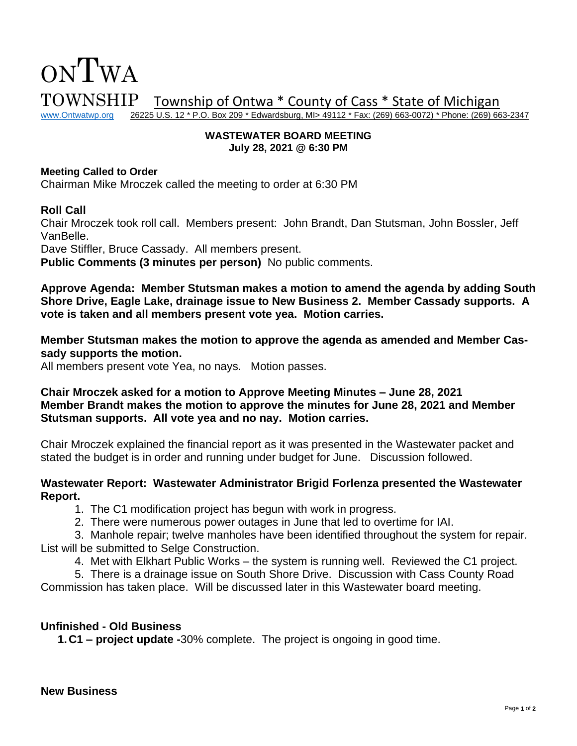

#### **WASTEWATER BOARD MEETING July 28, 2021 @ 6:30 PM**

#### **Meeting Called to Order**

Chairman Mike Mroczek called the meeting to order at 6:30 PM

### **Roll Call**

Chair Mroczek took roll call. Members present: John Brandt, Dan Stutsman, John Bossler, Jeff VanBelle.

Dave Stiffler, Bruce Cassady. All members present.

**Public Comments (3 minutes per person)** No public comments.

**Approve Agenda: Member Stutsman makes a motion to amend the agenda by adding South Shore Drive, Eagle Lake, drainage issue to New Business 2. Member Cassady supports. A vote is taken and all members present vote yea. Motion carries.** 

## **Member Stutsman makes the motion to approve the agenda as amended and Member Cassady supports the motion.**

All members present vote Yea, no nays. Motion passes.

# **Chair Mroczek asked for a motion to Approve Meeting Minutes – June 28, 2021 Member Brandt makes the motion to approve the minutes for June 28, 2021 and Member Stutsman supports. All vote yea and no nay. Motion carries.**

Chair Mroczek explained the financial report as it was presented in the Wastewater packet and stated the budget is in order and running under budget for June. Discussion followed.

### **Wastewater Report: Wastewater Administrator Brigid Forlenza presented the Wastewater Report.**

1. The C1 modification project has begun with work in progress.

2. There were numerous power outages in June that led to overtime for IAI.

3. Manhole repair; twelve manholes have been identified throughout the system for repair. List will be submitted to Selge Construction.

4. Met with Elkhart Public Works – the system is running well. Reviewed the C1 project.

5. There is a drainage issue on South Shore Drive. Discussion with Cass County Road Commission has taken place. Will be discussed later in this Wastewater board meeting.

# **Unfinished - Old Business**

**1.C1 – project update -**30% complete. The project is ongoing in good time.